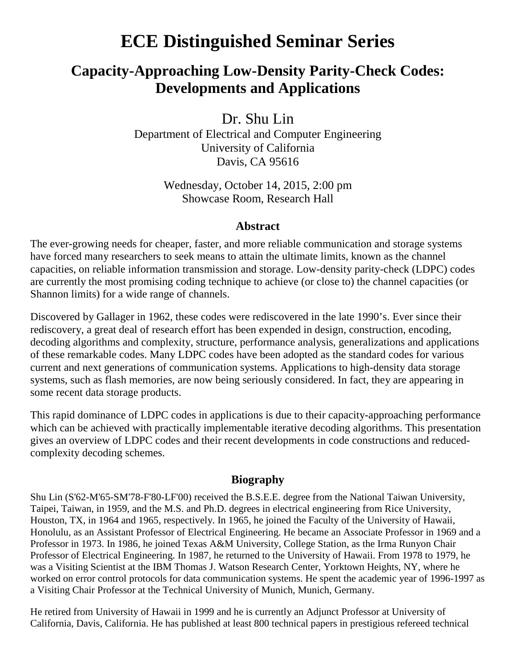## **ECE Distinguished Seminar Series**

## **Capacity-Approaching Low-Density Parity-Check Codes: Developments and Applications**

Dr. Shu Lin

Department of Electrical and Computer Engineering University of California Davis, CA 95616

> Wednesday, October 14, 2015, 2:00 pm Showcase Room, Research Hall

## **Abstract**

The ever-growing needs for cheaper, faster, and more reliable communication and storage systems have forced many researchers to seek means to attain the ultimate limits, known as the channel capacities, on reliable information transmission and storage. Low-density parity-check (LDPC) codes are currently the most promising coding technique to achieve (or close to) the channel capacities (or Shannon limits) for a wide range of channels.

Discovered by Gallager in 1962, these codes were rediscovered in the late 1990's. Ever since their rediscovery, a great deal of research effort has been expended in design, construction, encoding, decoding algorithms and complexity, structure, performance analysis, generalizations and applications of these remarkable codes. Many LDPC codes have been adopted as the standard codes for various current and next generations of communication systems. Applications to high-density data storage systems, such as flash memories, are now being seriously considered. In fact, they are appearing in some recent data storage products.

This rapid dominance of LDPC codes in applications is due to their capacity-approaching performance which can be achieved with practically implementable iterative decoding algorithms. This presentation gives an overview of LDPC codes and their recent developments in code constructions and reducedcomplexity decoding schemes.

## **Biography**

Shu Lin (S'62-M'65-SM'78-F'80-LF'00) received the B.S.E.E. degree from the National Taiwan University, Taipei, Taiwan, in 1959, and the M.S. and Ph.D. degrees in electrical engineering from Rice University, Houston, TX, in 1964 and 1965, respectively. In 1965, he joined the Faculty of the University of Hawaii, Honolulu, as an Assistant Professor of Electrical Engineering. He became an Associate Professor in 1969 and a Professor in 1973. In 1986, he joined Texas A&M University, College Station, as the Irma Runyon Chair Professor of Electrical Engineering. In 1987, he returned to the University of Hawaii. From 1978 to 1979, he was a Visiting Scientist at the IBM Thomas J. Watson Research Center, Yorktown Heights, NY, where he worked on error control protocols for data communication systems. He spent the academic year of 1996-1997 as a Visiting Chair Professor at the Technical University of Munich, Munich, Germany.

He retired from University of Hawaii in 1999 and he is currently an Adjunct Professor at University of California, Davis, California. He has published at least 800 technical papers in prestigious refereed technical